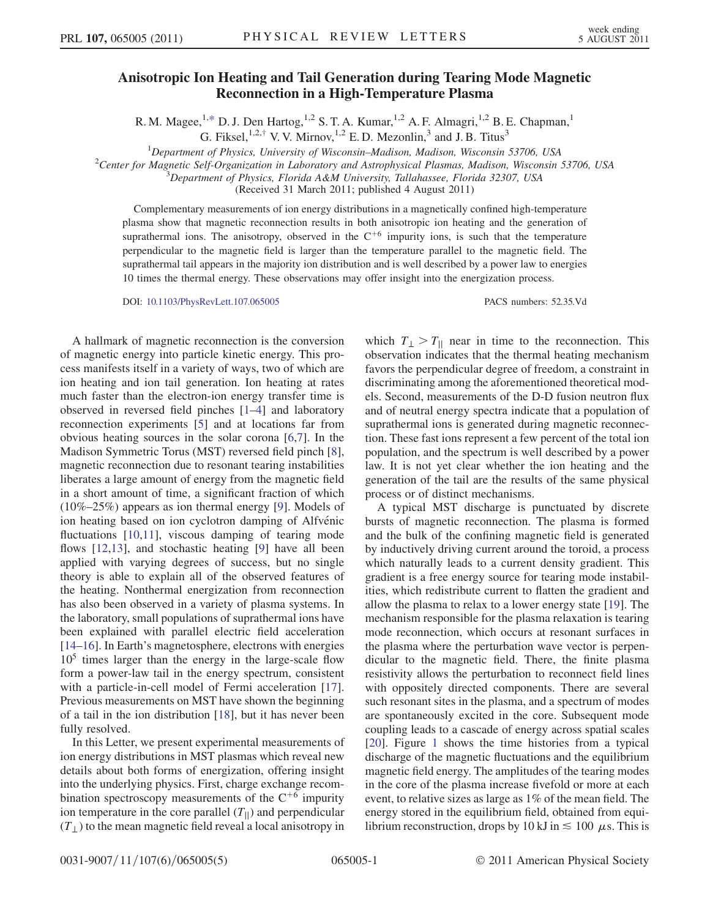## Anisotropic Ion Heating and Tail Generation during Tearing Mode Magnetic Reconnection in a High-Temperature Plasma

R. M. Magee,<sup>1[,\\*](#page-3-0)</sup> D. J. Den Hartog,<sup>1,2</sup> S. T. A. Kumar,<sup>1,2</sup> A. F. Almagri,<sup>1,2</sup> B. E. Chapman,<sup>1</sup> G. Fiksel,  $1,2, \dagger$  V. V. Mirnov,  $1,2$  E. D. Mezonlin,  $3$  and J. B. Titus<sup>3</sup>

<span id="page-0-1"></span><span id="page-0-0"></span><sup>1</sup>Department of Physics, University of Wisconsin–Madison, Madison, Wisconsin 53706, USA<br><sup>2</sup>Center for Magnetic Self Organization in Laboratory and Astrophysical Plasmas, Madison, Wisconsin

<sup>2</sup>Center for Magnetic Self-Organization in Laboratory and Astrophysical Plasmas, Madison, Wisconsin 53706, USA

 $^3$ Department of Physics, Florida A&M University, Tallahassee, Florida 32307, USA

(Received 31 March 2011; published 4 August 2011)

Complementary measurements of ion energy distributions in a magnetically confined high-temperature plasma show that magnetic reconnection results in both anisotropic ion heating and the generation of suprathermal ions. The anisotropy, observed in the  $C<sup>+6</sup>$  impurity ions, is such that the temperature perpendicular to the magnetic field is larger than the temperature parallel to the magnetic field. The suprathermal tail appears in the majority ion distribution and is well described by a power law to energies 10 times the thermal energy. These observations may offer insight into the energization process.

DOI: [10.1103/PhysRevLett.107.065005](http://dx.doi.org/10.1103/PhysRevLett.107.065005) PACS numbers: 52.35.Vd

A hallmark of magnetic reconnection is the conversion of magnetic energy into particle kinetic energy. This process manifests itself in a variety of ways, two of which are ion heating and ion tail generation. Ion heating at rates much faster than the electron-ion energy transfer time is observed in reversed field pinches [\[1–](#page-3-2)[4\]](#page-3-3) and laboratory reconnection experiments [[5\]](#page-3-4) and at locations far from obvious heating sources in the solar corona [\[6,](#page-3-5)[7](#page-3-6)]. In the Madison Symmetric Torus (MST) reversed field pinch [[8\]](#page-3-7), magnetic reconnection due to resonant tearing instabilities liberates a large amount of energy from the magnetic field in a short amount of time, a significant fraction of which (10%–25%) appears as ion thermal energy [\[9\]](#page-3-8). Models of ion heating based on ion cyclotron damping of Alfvénic fluctuations [[10](#page-3-9)[,11](#page-3-10)], viscous damping of tearing mode flows [[12](#page-3-11),[13](#page-3-12)], and stochastic heating [\[9\]](#page-3-8) have all been applied with varying degrees of success, but no single theory is able to explain all of the observed features of the heating. Nonthermal energization from reconnection has also been observed in a variety of plasma systems. In the laboratory, small populations of suprathermal ions have been explained with parallel electric field acceleration [\[14–](#page-3-13)[16\]](#page-3-14). In Earth's magnetosphere, electrons with energies  $10<sup>5</sup>$  times larger than the energy in the large-scale flow form a power-law tail in the energy spectrum, consistent with a particle-in-cell model of Fermi acceleration [\[17\]](#page-3-15). Previous measurements on MST have shown the beginning of a tail in the ion distribution [\[18\]](#page-4-0), but it has never been fully resolved.

In this Letter, we present experimental measurements of ion energy distributions in MST plasmas which reveal new details about both forms of energization, offering insight into the underlying physics. First, charge exchange recombination spectroscopy measurements of the  $C^{+6}$  impurity ion temperature in the core parallel  $(T_{\parallel})$  and perpendicular  $(T_{\perp})$  to the mean magnetic field reveal a local anisotropy in which  $T_{\perp} > T_{\parallel}$  near in time to the reconnection. This observation indicates that the thermal heating mechanism favors the perpendicular degree of freedom, a constraint in discriminating among the aforementioned theoretical models. Second, measurements of the D-D fusion neutron flux and of neutral energy spectra indicate that a population of suprathermal ions is generated during magnetic reconnection. These fast ions represent a few percent of the total ion population, and the spectrum is well described by a power law. It is not yet clear whether the ion heating and the generation of the tail are the results of the same physical process or of distinct mechanisms.

A typical MST discharge is punctuated by discrete bursts of magnetic reconnection. The plasma is formed and the bulk of the confining magnetic field is generated by inductively driving current around the toroid, a process which naturally leads to a current density gradient. This gradient is a free energy source for tearing mode instabilities, which redistribute current to flatten the gradient and allow the plasma to relax to a lower energy state [\[19\]](#page-4-1). The mechanism responsible for the plasma relaxation is tearing mode reconnection, which occurs at resonant surfaces in the plasma where the perturbation wave vector is perpendicular to the magnetic field. There, the finite plasma resistivity allows the perturbation to reconnect field lines with oppositely directed components. There are several such resonant sites in the plasma, and a spectrum of modes are spontaneously excited in the core. Subsequent mode coupling leads to a cascade of energy across spatial scales [\[20\]](#page-4-2). Figure [1](#page-1-0) shows the time histories from a typical discharge of the magnetic fluctuations and the equilibrium magnetic field energy. The amplitudes of the tearing modes in the core of the plasma increase fivefold or more at each event, to relative sizes as large as 1% of the mean field. The energy stored in the equilibrium field, obtained from equilibrium reconstruction, drops by 10 kJ in  $\leq$  100  $\mu$ s. This is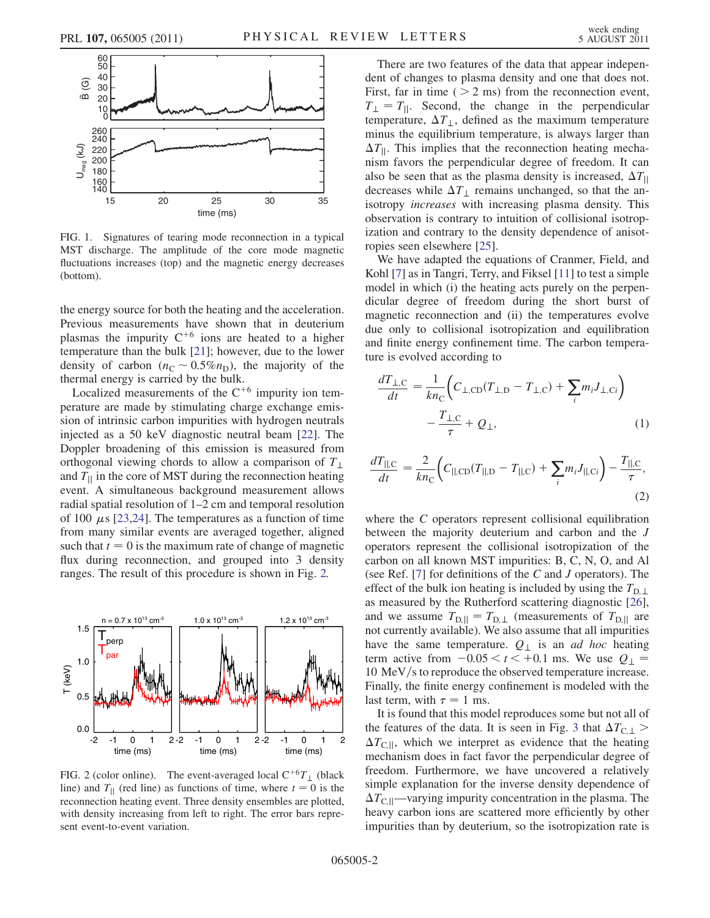<span id="page-1-0"></span>

FIG. 1. Signatures of tearing mode reconnection in a typical MST discharge. The amplitude of the core mode magnetic fluctuations increases (top) and the magnetic energy decreases (bottom).

the energy source for both the heating and the acceleration. Previous measurements have shown that in deuterium plasmas the impurity  $C^{+6}$  ions are heated to a higher temperature than the bulk [\[21\]](#page-4-3); however, due to the lower density of carbon  $(n_C \sim 0.5\%n_D)$ , the majority of the thermal energy is carried by the bulk.

Localized measurements of the  $C^{+6}$  impurity ion temperature are made by stimulating charge exchange emission of intrinsic carbon impurities with hydrogen neutrals injected as a 50 keV diagnostic neutral beam [[22](#page-4-4)]. The Doppler broadening of this emission is measured from orthogonal viewing chords to allow a comparison of  $T_{\perp}$ and  $T_{\parallel}$  in the core of MST during the reconnection heating event. A simultaneous background measurement allows radial spatial resolution of 1–2 cm and temporal resolution of 100  $\mu$ s [\[23,](#page-4-5)[24\]](#page-4-6). The temperatures as a function of time from many similar events are averaged together, aligned such that  $t = 0$  is the maximum rate of change of magnetic flux during reconnection, and grouped into 3 density ranges. The result of this procedure is shown in Fig. [2.](#page-1-1)

<span id="page-1-1"></span>

FIG. 2 (color online). The event-averaged local  $C^{+6}T_{\perp}$  (black line) and  $T_{\parallel}$  (red line) as functions of time, where  $t = 0$  is the reconnection heating event. Three density ensembles are plotted, with density increasing from left to right. The error bars represent event-to-event variation.

There are two features of the data that appear independent of changes to plasma density and one that does not. First, far in time  $($  > 2 ms) from the reconnection event,  $T_{\perp} = T_{\parallel}$ . Second, the change in the perpendicular temperature,  $\Delta T_{\perp}$ , defined as the maximum temperature minus the equilibrium temperature, is always larger than  $\Delta T_{\parallel}$ . This implies that the reconnection heating mechanism favors the perpendicular degree of freedom. It can also be seen that as the plasma density is increased,  $\Delta T_{\parallel}$ decreases while  $\Delta T_{\perp}$  remains unchanged, so that the anisotropy increases with increasing plasma density. This observation is contrary to intuition of collisional isotropization and contrary to the density dependence of anisotropies seen elsewhere [\[25\]](#page-4-7).

We have adapted the equations of Cranmer, Field, and Kohl [\[7\]](#page-3-6) as in Tangri, Terry, and Fiksel [[11\]](#page-3-10) to test a simple model in which (i) the heating acts purely on the perpendicular degree of freedom during the short burst of magnetic reconnection and (ii) the temperatures evolve due only to collisional isotropization and equilibration and finite energy confinement time. The carbon temperature is evolved according to

$$
\frac{dT_{\perp,C}}{dt} = \frac{1}{kn_{\text{C}}} \Big( C_{\perp,\text{CD}} (T_{\perp,\text{D}} - T_{\perp,\text{C}}) + \sum_{i} m_i J_{\perp,\text{C}i} \Big) - \frac{T_{\perp,\text{C}}}{\tau} + Q_{\perp},
$$
\n(1)

$$
\frac{dT_{\parallel,C}}{dt} = \frac{2}{kn_C} \Big( C_{\parallel,CD} (T_{\parallel,D} - T_{\parallel,C}) + \sum_i m_i J_{\parallel,Ci} \Big) - \frac{T_{\parallel,C}}{\tau},\tag{2}
$$

where the C operators represent collisional equilibration between the majority deuterium and carbon and the J operators represent the collisional isotropization of the carbon on all known MST impurities: B, C, N, O, and Al (see Ref. [[7\]](#page-3-6) for definitions of the C and J operators). The effect of the bulk ion heating is included by using the  $T_{\text{D}}$ . as measured by the Rutherford scattering diagnostic [[26\]](#page-4-8), and we assume  $T_{D,||} = T_{D, \perp}$  (measurements of  $T_{D,||}$  are not currently available). We also assume that all impurities have the same temperature.  $Q_{\perp}$  is an *ad hoc* heating term active from  $-0.05 < t < +0.1$  ms. We use  $Q_{\perp}$  $10 \text{ MeV/s}$  to reproduce the observed temperature increase. Finally, the finite energy confinement is modeled with the last term, with  $\tau = 1$  ms.

It is found that this model reproduces some but not all of the features of the data. It is seen in Fig. [3](#page-2-0) that  $\Delta T_{\text{C},\perp}$  >  $\Delta T_{\text{CII}}$ , which we interpret as evidence that the heating mechanism does in fact favor the perpendicular degree of freedom. Furthermore, we have uncovered a relatively simple explanation for the inverse density dependence of  $\Delta T_{\text{CII}}$ —varying impurity concentration in the plasma. The heavy carbon ions are scattered more efficiently by other impurities than by deuterium, so the isotropization rate is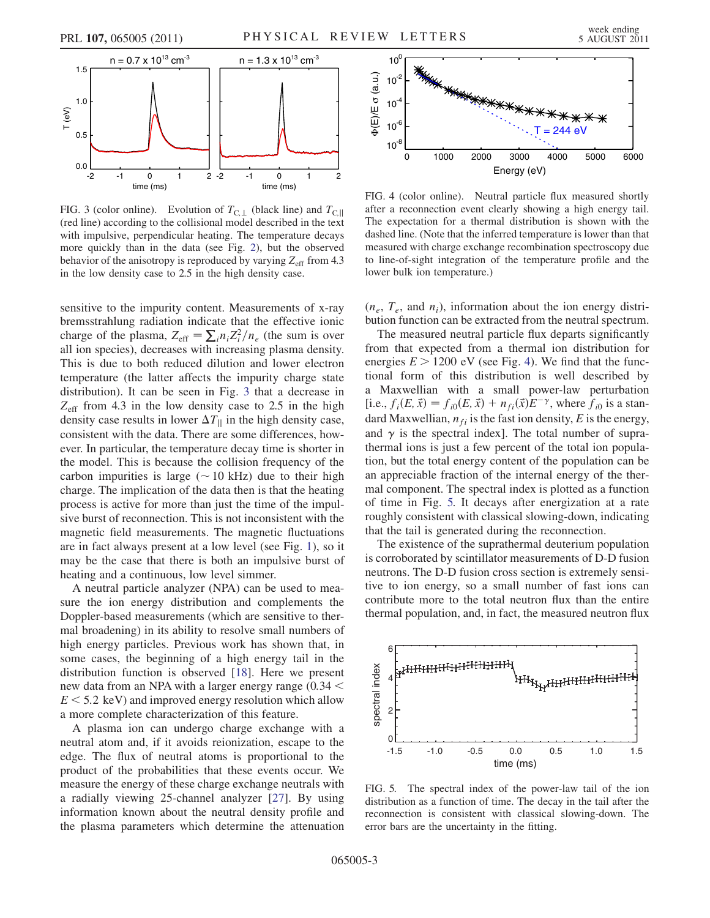<span id="page-2-0"></span>

FIG. 3 (color online). Evolution of  $T_{C,\perp}$  (black line) and  $T_{C,\parallel}$ (red line) according to the collisional model described in the text with impulsive, perpendicular heating. The temperature decays more quickly than in the data (see Fig. [2\)](#page-1-1), but the observed behavior of the anisotropy is reproduced by varying  $Z_{\text{eff}}$  from 4.3 in the low density case to 2.5 in the high density case.

sensitive to the impurity content. Measurements of x-ray bremsstrahlung radiation indicate that the effective ionic charge of the plasma,  $Z_{\text{eff}} = \sum_{i} n_i Z_i^2 / n_e$  (the sum is over all ion species), decreases with increasing plasma density. This is due to both reduced dilution and lower electron temperature (the latter affects the impurity charge state distribution). It can be seen in Fig. [3](#page-2-0) that a decrease in  $Z_{\text{eff}}$  from 4.3 in the low density case to 2.5 in the high density case results in lower  $\Delta T_{\parallel}$  in the high density case, consistent with the data. There are some differences, however. In particular, the temperature decay time is shorter in the model. This is because the collision frequency of the carbon impurities is large ( $\sim$  10 kHz) due to their high charge. The implication of the data then is that the heating process is active for more than just the time of the impulsive burst of reconnection. This is not inconsistent with the magnetic field measurements. The magnetic fluctuations are in fact always present at a low level (see Fig. [1](#page-1-0)), so it may be the case that there is both an impulsive burst of heating and a continuous, low level simmer.

A neutral particle analyzer (NPA) can be used to measure the ion energy distribution and complements the Doppler-based measurements (which are sensitive to thermal broadening) in its ability to resolve small numbers of high energy particles. Previous work has shown that, in some cases, the beginning of a high energy tail in the distribution function is observed [\[18\]](#page-4-0). Here we present new data from an NPA with a larger energy range  $(0.34 <$  $E \le 5.2$  keV) and improved energy resolution which allow a more complete characterization of this feature.

A plasma ion can undergo charge exchange with a neutral atom and, if it avoids reionization, escape to the edge. The flux of neutral atoms is proportional to the product of the probabilities that these events occur. We measure the energy of these charge exchange neutrals with a radially viewing 25-channel analyzer [[27](#page-4-9)]. By using information known about the neutral density profile and the plasma parameters which determine the attenuation

<span id="page-2-1"></span>

FIG. 4 (color online). Neutral particle flux measured shortly after a reconnection event clearly showing a high energy tail. The expectation for a thermal distribution is shown with the dashed line. (Note that the inferred temperature is lower than that measured with charge exchange recombination spectroscopy due to line-of-sight integration of the temperature profile and the lower bulk ion temperature.)

 $(n_e, T_e, \text{ and } n_i)$ , information about the ion energy distribution function can be extracted from the neutral spectrum.

The measured neutral particle flux departs significantly from that expected from a thermal ion distribution for energies  $E > 1200$  eV (see Fig. [4\)](#page-2-1). We find that the functional form of this distribution is well described by a Maxwellian with a small power-law perturbation [i.e.,  $f_i(E, \vec{x}) = f_{i0}(E, \vec{x}) + n_{fi}(\vec{x})E^{-\gamma}$ , where  $f_{i0}$  is a standard Maxwellian,  $n_{fi}$  is the fast ion density, E is the energy, and  $\gamma$  is the spectral index]. The total number of suprathermal ions is just a few percent of the total ion population, but the total energy content of the population can be an appreciable fraction of the internal energy of the thermal component. The spectral index is plotted as a function of time in Fig. [5.](#page-2-2) It decays after energization at a rate roughly consistent with classical slowing-down, indicating that the tail is generated during the reconnection.

The existence of the suprathermal deuterium population is corroborated by scintillator measurements of D-D fusion neutrons. The D-D fusion cross section is extremely sensitive to ion energy, so a small number of fast ions can contribute more to the total neutron flux than the entire thermal population, and, in fact, the measured neutron flux

<span id="page-2-2"></span>

FIG. 5. The spectral index of the power-law tail of the ion distribution as a function of time. The decay in the tail after the reconnection is consistent with classical slowing-down. The error bars are the uncertainty in the fitting.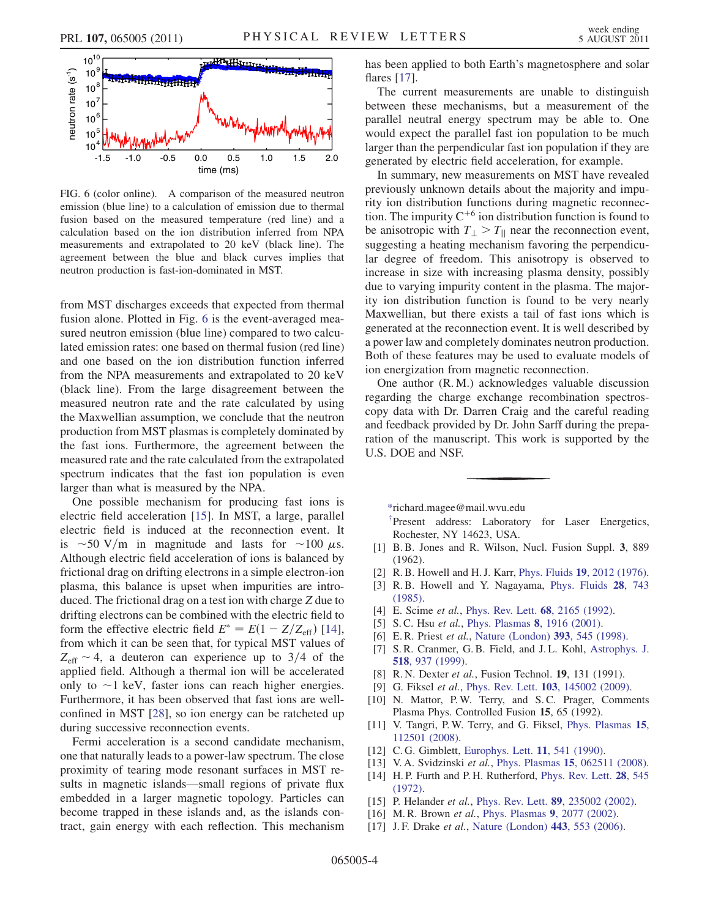<span id="page-3-16"></span>

FIG. 6 (color online). A comparison of the measured neutron emission (blue line) to a calculation of emission due to thermal fusion based on the measured temperature (red line) and a calculation based on the ion distribution inferred from NPA measurements and extrapolated to 20 keV (black line). The agreement between the blue and black curves implies that neutron production is fast-ion-dominated in MST.

from MST discharges exceeds that expected from thermal fusion alone. Plotted in Fig. [6](#page-3-16) is the event-averaged measured neutron emission (blue line) compared to two calculated emission rates: one based on thermal fusion (red line) and one based on the ion distribution function inferred from the NPA measurements and extrapolated to 20 keV (black line). From the large disagreement between the measured neutron rate and the rate calculated by using the Maxwellian assumption, we conclude that the neutron production from MST plasmas is completely dominated by the fast ions. Furthermore, the agreement between the measured rate and the rate calculated from the extrapolated spectrum indicates that the fast ion population is even larger than what is measured by the NPA.

One possible mechanism for producing fast ions is electric field acceleration [\[15\]](#page-3-17). In MST, a large, parallel electric field is induced at the reconnection event. It is  $\sim$  50 V/m in magnitude and lasts for  $\sim$  100  $\mu$ s. Although electric field acceleration of ions is balanced by frictional drag on drifting electrons in a simple electron-ion plasma, this balance is upset when impurities are introduced. The frictional drag on a test ion with charge Z due to drifting electrons can be combined with the electric field to form the effective electric field  $E^* = E(1 - Z/Z_{\text{eff}})$  [\[14\]](#page-3-13), from which it can be seen that, for typical MST values of  $Z_{\text{eff}} \sim 4$ , a deuteron can experience up to 3/4 of the applied field. Although a thermal ion will be accelerated only to  $\sim$ 1 keV, faster ions can reach higher energies. Furthermore, it has been observed that fast ions are wellconfined in MST [[28](#page-4-10)], so ion energy can be ratcheted up during successive reconnection events.

Fermi acceleration is a second candidate mechanism, one that naturally leads to a power-law spectrum. The close proximity of tearing mode resonant surfaces in MST results in magnetic islands—small regions of private flux embedded in a larger magnetic topology. Particles can become trapped in these islands and, as the islands contract, gain energy with each reflection. This mechanism has been applied to both Earth's magnetosphere and solar flares [\[17\]](#page-3-15).

The current measurements are unable to distinguish between these mechanisms, but a measurement of the parallel neutral energy spectrum may be able to. One would expect the parallel fast ion population to be much larger than the perpendicular fast ion population if they are generated by electric field acceleration, for example.

In summary, new measurements on MST have revealed previously unknown details about the majority and impurity ion distribution functions during magnetic reconnection. The impurity  $C^{+6}$  ion distribution function is found to be anisotropic with  $T_{\perp} > T_{\parallel}$  near the reconnection event, suggesting a heating mechanism favoring the perpendicular degree of freedom. This anisotropy is observed to increase in size with increasing plasma density, possibly due to varying impurity content in the plasma. The majority ion distribution function is found to be very nearly Maxwellian, but there exists a tail of fast ions which is generated at the reconnection event. It is well described by a power law and completely dominates neutron production. Both of these features may be used to evaluate models of ion energization from magnetic reconnection.

One author (R. M.) acknowledges valuable discussion regarding the charge exchange recombination spectroscopy data with Dr. Darren Craig and the careful reading and feedback provided by Dr. John Sarff during the preparation of the manuscript. This work is supported by the U.S. DOE and NSF.

<span id="page-3-0"></span>[\\*r](#page-0-0)ichard.magee@mail.wvu.edu

<span id="page-3-1"></span>[†](#page-0-1) Present address: Laboratory for Laser Energetics, Rochester, NY 14623, USA.

- <span id="page-3-2"></span>[1] B. B. Jones and R. Wilson, Nucl. Fusion Suppl. 3, 889 (1962).
- [2] R. B. Howell and H. J. Karr, Phys. Fluids 19[, 2012 \(1976\).](http://dx.doi.org/10.1063/1.861433)
- [3] R. B. Howell and Y. Nagayama, [Phys. Fluids](http://dx.doi.org/10.1063/1.865086) 28, 743 [\(1985\)](http://dx.doi.org/10.1063/1.865086).
- <span id="page-3-4"></span><span id="page-3-3"></span>[4] E. Scime et al., [Phys. Rev. Lett.](http://dx.doi.org/10.1103/PhysRevLett.68.2165) 68, 2165 (1992).
- <span id="page-3-5"></span>[5] S. C. Hsu et al., [Phys. Plasmas](http://dx.doi.org/10.1063/1.1356737) 8, 1916 (2001).
- <span id="page-3-6"></span>[6] E.R. Priest et al., [Nature \(London\)](http://dx.doi.org/10.1038/31166) 393, 545 (1998).
- [7] S. R. Cranmer, G. B. Field, and J. L. Kohl, [Astrophys. J.](http://dx.doi.org/10.1086/307330) 518[, 937 \(1999\).](http://dx.doi.org/10.1086/307330)
- <span id="page-3-8"></span><span id="page-3-7"></span>[8] R. N. Dexter et al., Fusion Technol. 19, 131 (1991).
- <span id="page-3-9"></span>[9] G. Fiksel et al., Phys. Rev. Lett. **103**[, 145002 \(2009\)](http://dx.doi.org/10.1103/PhysRevLett.103.145002).
- [10] N. Mattor, P.W. Terry, and S.C. Prager, Comments Plasma Phys. Controlled Fusion 15, 65 (1992).
- <span id="page-3-10"></span>[11] V. Tangri, P. W. Terry, and G. Fiksel, [Phys. Plasmas](http://dx.doi.org/10.1063/1.2998829) 15, [112501 \(2008\).](http://dx.doi.org/10.1063/1.2998829)
- <span id="page-3-12"></span><span id="page-3-11"></span>[12] C. G. Gimblett, [Europhys. Lett.](http://dx.doi.org/10.1209/0295-5075/11/6/010) **11**, 541 (1990).
- <span id="page-3-13"></span>[13] V. A. Svidzinski et al., Phys. Plasmas 15[, 062511 \(2008\).](http://dx.doi.org/10.1063/1.2937121)
- [14] H.P. Furth and P.H. Rutherford, [Phys. Rev. Lett.](http://dx.doi.org/10.1103/PhysRevLett.28.545) 28, 545 [\(1972\)](http://dx.doi.org/10.1103/PhysRevLett.28.545).
- <span id="page-3-17"></span><span id="page-3-14"></span>[15] P. Helander *et al.*, Phys. Rev. Lett. **89**[, 235002 \(2002\)](http://dx.doi.org/10.1103/PhysRevLett.89.235002).
- <span id="page-3-15"></span>[16] M. R. Brown et al., [Phys. Plasmas](http://dx.doi.org/10.1063/1.1458589) 9, 2077 (2002).
- [17] J. F. Drake et al., [Nature \(London\)](http://dx.doi.org/10.1038/nature05116) 443, 553 (2006).